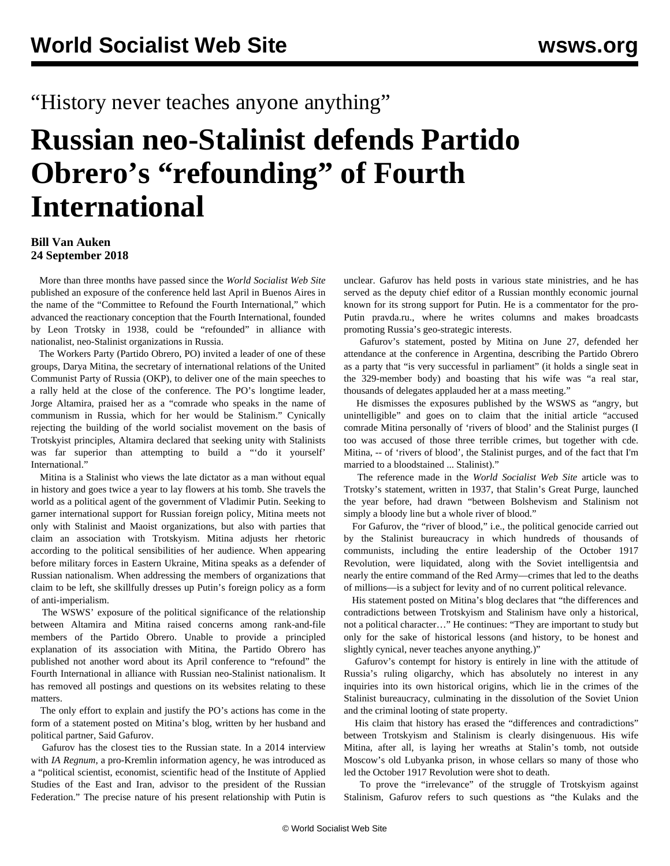## "History never teaches anyone anything"

## **Russian neo-Stalinist defends Partido Obrero's "refounding" of Fourth International**

## **Bill Van Auken 24 September 2018**

 More than three months have passed since the *World Socialist Web Site* published an [exposure](/en/articles/2018/06/07/crfi-j07.html) of the conference held last April in Buenos Aires in the name of the "Committee to Refound the Fourth International," which advanced the reactionary conception that the Fourth International, founded by Leon Trotsky in 1938, could be "refounded" in alliance with nationalist, neo-Stalinist organizations in Russia.

 The Workers Party (Partido Obrero, PO) invited a leader of one of these groups, Darya Mitina, the secretary of international relations of the United Communist Party of Russia (OKP), to deliver one of the main speeches to a rally held at the close of the conference. The PO's longtime leader, Jorge Altamira, praised her as a "comrade who speaks in the name of communism in Russia, which for her would be Stalinism." Cynically rejecting the building of the world socialist movement on the basis of Trotskyist principles, Altamira declared that seeking unity with Stalinists was far superior than attempting to build a "'do it yourself' International."

 Mitina is a Stalinist who views the late dictator as a man without equal in history and goes twice a year to lay flowers at his tomb. She travels the world as a political agent of the government of Vladimir Putin. Seeking to garner international support for Russian foreign policy, Mitina meets not only with Stalinist and Maoist organizations, but also with parties that claim an association with Trotskyism. Mitina adjusts her rhetoric according to the political sensibilities of her audience. When appearing before military forces in Eastern Ukraine, Mitina speaks as a defender of Russian nationalism. When addressing the members of organizations that claim to be left, she skillfully dresses up Putin's foreign policy as a form of anti-imperialism.

 The WSWS' exposure of the political significance of the relationship between Altamira and Mitina raised concerns among rank-and-file members of the Partido Obrero. Unable to provide a principled explanation of its association with Mitina, the Partido Obrero has published not another word about its April conference to "refound" the Fourth International in alliance with Russian neo-Stalinist nationalism. It has removed all postings and questions on its websites relating to these matters.

 The only effort to explain and justify the PO's actions has come in the form of a statement posted on Mitina's blog, written by her husband and political partner, Said Gafurov.

 Gafurov has the closest ties to the Russian state. In a 2014 interview with *IA Regnum*, a pro-Kremlin information agency, he was introduced as a "political scientist, economist, scientific head of the Institute of Applied Studies of the East and Iran, advisor to the president of the Russian Federation." The precise nature of his present relationship with Putin is

unclear. Gafurov has held posts in various state ministries, and he has served as the deputy chief editor of a Russian monthly economic journal known for its strong support for Putin. He is a commentator for the pro-Putin pravda.ru., where he writes columns and makes broadcasts promoting Russia's geo-strategic interests.

 Gafurov's statement, posted by Mitina on June 27, defended her attendance at the conference in Argentina, describing the Partido Obrero as a party that "is very successful in parliament" (it holds a single seat in the 329-member body) and boasting that his wife was "a real star, thousands of delegates applauded her at a mass meeting."

 He dismisses the exposures published by the WSWS as "angry, but unintelligible" and goes on to claim that the initial article "accused comrade Mitina personally of 'rivers of blood' and the Stalinist purges (I too was accused of those three terrible crimes, but together with cde. Mitina, -- of 'rivers of blood', the Stalinist purges, and of the fact that I'm married to a bloodstained ... Stalinist)."

 The reference made in the *World Socialist Web Site* article was to Trotsky's statement, written in 1937, that Stalin's Great Purge, launched the year before, had drawn "between Bolshevism and Stalinism not simply a bloody line but a whole river of blood."

 For Gafurov, the "river of blood," i.e., the political genocide carried out by the Stalinist bureaucracy in which hundreds of thousands of communists, including the entire leadership of the October 1917 Revolution, were liquidated, along with the Soviet intelligentsia and nearly the entire command of the Red Army—crimes that led to the deaths of millions—is a subject for levity and of no current political relevance.

 His statement posted on Mitina's blog declares that "the differences and contradictions between Trotskyism and Stalinism have only a historical, not a political character…" He continues: "They are important to study but only for the sake of historical lessons (and history, to be honest and slightly cynical, never teaches anyone anything.)"

 Gafurov's contempt for history is entirely in line with the attitude of Russia's ruling oligarchy, which has absolutely no interest in any inquiries into its own historical origins, which lie in the crimes of the Stalinist bureaucracy, culminating in the dissolution of the Soviet Union and the criminal looting of state property.

 His claim that history has erased the "differences and contradictions" between Trotskyism and Stalinism is clearly disingenuous. His wife Mitina, after all, is laying her wreaths at Stalin's tomb, not outside Moscow's old Lubyanka prison, in whose cellars so many of those who led the October 1917 Revolution were shot to death.

 To prove the "irrelevance" of the struggle of Trotskyism against Stalinism, Gafurov refers to such questions as "the Kulaks and the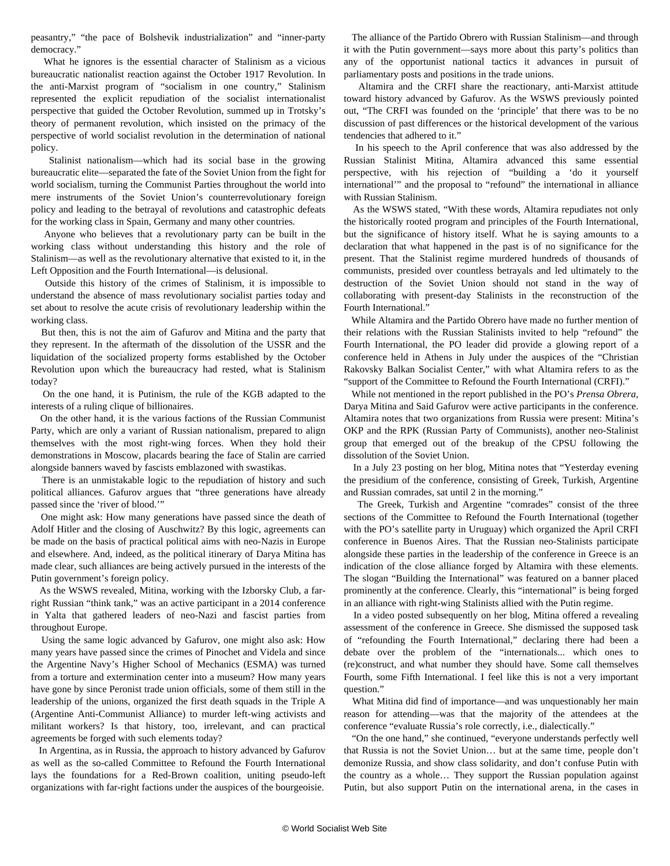peasantry," "the pace of Bolshevik industrialization" and "inner-party democracy."

 What he ignores is the essential character of Stalinism as a vicious bureaucratic nationalist reaction against the October 1917 Revolution. In the anti-Marxist program of "socialism in one country," Stalinism represented the explicit repudiation of the socialist internationalist perspective that guided the October Revolution, summed up in Trotsky's theory of permanent revolution, which insisted on the primacy of the perspective of world socialist revolution in the determination of national policy.

 Stalinist nationalism—which had its social base in the growing bureaucratic elite—separated the fate of the Soviet Union from the fight for world socialism, turning the Communist Parties throughout the world into mere instruments of the Soviet Union's counterrevolutionary foreign policy and leading to the betrayal of revolutions and catastrophic defeats for the working class in Spain, Germany and many other countries.

 Anyone who believes that a revolutionary party can be built in the working class without understanding this history and the role of Stalinism—as well as the revolutionary alternative that existed to it, in the Left Opposition and the Fourth International—is delusional.

 Outside this history of the crimes of Stalinism, it is impossible to understand the absence of mass revolutionary socialist parties today and set about to resolve the acute crisis of revolutionary leadership within the working class.

 But then, this is not the aim of Gafurov and Mitina and the party that they represent. In the aftermath of the dissolution of the USSR and the liquidation of the socialized property forms established by the October Revolution upon which the bureaucracy had rested, what is Stalinism today?

 On the one hand, it is Putinism, the rule of the KGB adapted to the interests of a ruling clique of billionaires.

 On the other hand, it is the various factions of the Russian Communist Party, which are only a variant of Russian nationalism, prepared to align themselves with the most right-wing forces. When they hold their demonstrations in Moscow, placards bearing the face of Stalin are carried alongside banners waved by fascists emblazoned with swastikas.

 There is an unmistakable logic to the repudiation of history and such political alliances. Gafurov argues that "three generations have already passed since the 'river of blood.'"

 One might ask: How many generations have passed since the death of Adolf Hitler and the closing of Auschwitz? By this logic, agreements can be made on the basis of practical political aims with neo-Nazis in Europe and elsewhere. And, indeed, as the political itinerary of Darya Mitina has made clear, such alliances are being actively pursued in the interests of the Putin government's foreign policy.

 As the WSWS [revealed,](/en/articles/2018/06/19/crfi-j19.html) Mitina, working with the Izborsky Club, a farright Russian "think tank," was an active participant in a 2014 conference in Yalta that gathered leaders of neo-Nazi and fascist parties from throughout Europe.

 Using the same logic advanced by Gafurov, one might also ask: How many years have passed since the crimes of Pinochet and Videla and since the Argentine Navy's Higher School of Mechanics (ESMA) was turned from a torture and extermination center into a museum? How many years have gone by since Peronist trade union officials, some of them still in the leadership of the unions, organized the first death squads in the Triple A (Argentine Anti-Communist Alliance) to murder left-wing activists and militant workers? Is that history, too, irrelevant, and can practical agreements be forged with such elements today?

 In Argentina, as in Russia, the approach to history advanced by Gafurov as well as the so-called Committee to Refound the Fourth International lays the foundations for a Red-Brown coalition, uniting pseudo-left organizations with far-right factions under the auspices of the bourgeoisie.

 The alliance of the Partido Obrero with Russian Stalinism—and through it with the Putin government—says more about this party's politics than any of the opportunist national tactics it advances in pursuit of parliamentary posts and positions in the trade unions.

 Altamira and the CRFI share the reactionary, anti-Marxist attitude toward history advanced by Gafurov. As the WSWS previously [pointed](/en/articles/2018/06/07/crfi-j07.html) [out,](/en/articles/2018/06/07/crfi-j07.html) "The CRFI was founded on the 'principle' that there was to be no discussion of past differences or the historical development of the various tendencies that adhered to it."

 In his speech to the April conference that was also addressed by the Russian Stalinist Mitina, Altamira advanced this same essential perspective, with his rejection of "building a 'do it yourself international'" and the proposal to "refound" the international in alliance with Russian Stalinism.

 As the WSWS stated, "With these words, Altamira repudiates not only the historically rooted program and principles of the Fourth International, but the significance of history itself. What he is saying amounts to a declaration that what happened in the past is of no significance for the present. That the Stalinist regime murdered hundreds of thousands of communists, presided over countless betrayals and led ultimately to the destruction of the Soviet Union should not stand in the way of collaborating with present-day Stalinists in the reconstruction of the Fourth International."

 While Altamira and the Partido Obrero have made no further mention of their relations with the Russian Stalinists invited to help "refound" the Fourth International, the PO leader did provide a glowing report of a conference held in Athens in July under the auspices of the "Christian Rakovsky Balkan Socialist Center," with what Altamira refers to as the "support of the Committee to Refound the Fourth International (CRFI)."

 While not mentioned in the report published in the PO's *Prensa Obrera*, Darya Mitina and Said Gafurov were active participants in the conference. Altamira notes that two organizations from Russia were present: Mitina's OKP and the RPK (Russian Party of Communists), another neo-Stalinist group that emerged out of the breakup of the CPSU following the dissolution of the Soviet Union.

 In a July 23 posting on her blog, Mitina notes that "Yesterday evening the presidium of the conference, consisting of Greek, Turkish, Argentine and Russian comrades, sat until 2 in the morning."

 The Greek, Turkish and Argentine "comrades" consist of the three sections of the Committee to Refound the Fourth International (together with the PO's satellite party in Uruguay) which organized the April CRFI conference in Buenos Aires. That the Russian neo-Stalinists participate alongside these parties in the leadership of the conference in Greece is an indication of the close alliance forged by Altamira with these elements. The slogan "Building the International" was featured on a banner placed prominently at the conference. Clearly, this "international" is being forged in an alliance with right-wing Stalinists allied with the Putin regime.

 In a [video](https://kolobok1973.livejournal.com/4593028.html) posted subsequently on her blog, Mitina offered a revealing assessment of the conference in Greece. She dismissed the supposed task of "refounding the Fourth International," declaring there had been a debate over the problem of the "internationals... which ones to (re)construct, and what number they should have. Some call themselves Fourth, some Fifth International. I feel like this is not a very important question."

 What Mitina did find of importance—and was unquestionably her main reason for attending—was that the majority of the attendees at the conference "evaluate Russia's role correctly, i.e., dialectically."

 "On the one hand," she continued, "everyone understands perfectly well that Russia is not the Soviet Union… but at the same time, people don't demonize Russia, and show class solidarity, and don't confuse Putin with the country as a whole… They support the Russian population against Putin, but also support Putin on the international arena, in the cases in